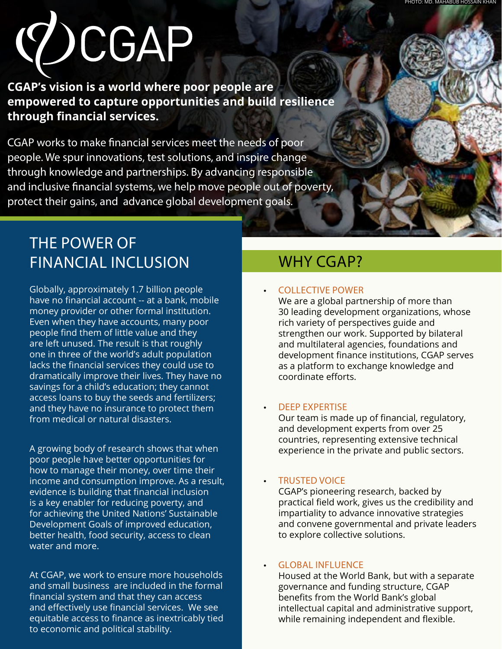# **YOCGAP**

**CGAP's vision is a world where poor people are empowered to capture opportunities and build resilience through financial services.** 

CGAP works to make financial services meet the needs of poor people. We spur innovations, test solutions, and inspire change through knowledge and partnerships. By advancing responsible and inclusive financial systems, we help move people out of poverty, protect their gains, and advance global development goals.

# THE POWER OF FINANCIAL INCLUSION

Globally, approximately 1.7 billion people have no financial account -- at a bank, mobile money provider or other formal institution. Even when they have accounts, many poor people find them of little value and they are left unused. The result is that roughly one in three of the world's adult population lacks the financial services they could use to dramatically improve their lives. They have no savings for a child's education; they cannot access loans to buy the seeds and fertilizers; and they have no insurance to protect them from medical or natural disasters.

A growing body of research shows that when poor people have better opportunities for how to manage their money, over time their income and consumption improve. As a result, evidence is building that financial inclusion is a key enabler for reducing poverty, and for achieving the United Nations' Sustainable Development Goals of improved education, better health, food security, access to clean water and more.

At CGAP, we work to ensure more households and small business are included in the formal financial system and that they can access and effectively use financial services. We see equitable access to finance as inextricably tied to economic and political stability.

# WHY CGAP?

## • COLLECTIVE POWER

We are a global partnership of more than 30 leading development organizations, whose rich variety of perspectives guide and strengthen our work. Supported by bilateral and multilateral agencies, foundations and development finance institutions, CGAP serves as a platform to exchange knowledge and coordinate efforts.

## • DEEP EXPERTISE

Our team is made up of financial, regulatory, and development experts from over 25 countries, representing extensive technical experience in the private and public sectors.

## • TRUSTED VOICE

CGAP's pioneering research, backed by practical field work, gives us the credibility and impartiality to advance innovative strategies and convene governmental and private leaders to explore collective solutions.

### **GLOBAL INFLUENCE**

Housed at the World Bank, but with a separate governance and funding structure, CGAP benefits from the World Bank's global intellectual capital and administrative support, while remaining independent and flexible.